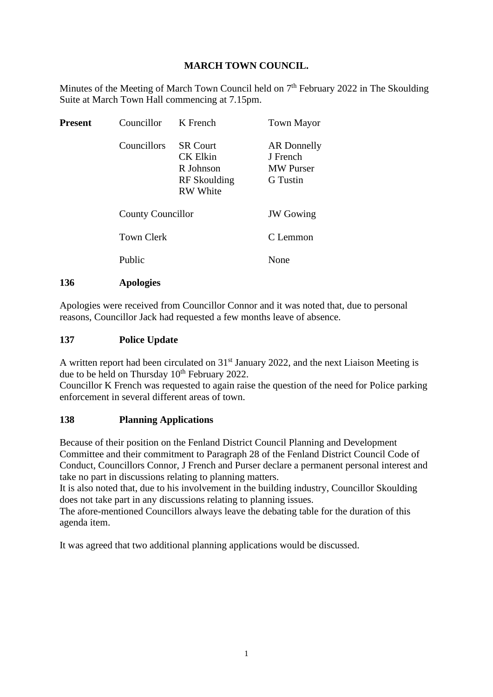# **MARCH TOWN COUNCIL.**

Minutes of the Meeting of March Town Council held on  $7<sup>th</sup>$  February 2022 in The Skoulding Suite at March Town Hall commencing at 7.15pm.

| <b>Present</b> | Councillor                                    | K French                                                                           | <b>Town Mayor</b>                                              |
|----------------|-----------------------------------------------|------------------------------------------------------------------------------------|----------------------------------------------------------------|
|                | Councillors                                   | <b>SR Court</b><br><b>CK Elkin</b><br>R Johnson<br>RF Skoulding<br><b>RW</b> White | AR Donnelly<br>J French<br><b>MW</b> Purser<br><b>G</b> Tustin |
|                | <b>County Councillor</b><br><b>Town Clerk</b> |                                                                                    | <b>JW</b> Gowing                                               |
|                |                                               |                                                                                    | C Lemmon                                                       |
|                | Public                                        |                                                                                    | None                                                           |
|                |                                               |                                                                                    |                                                                |

**136 Apologies**

Apologies were received from Councillor Connor and it was noted that, due to personal reasons, Councillor Jack had requested a few months leave of absence.

## **137 Police Update**

A written report had been circulated on 31<sup>st</sup> January 2022, and the next Liaison Meeting is due to be held on Thursday  $10<sup>th</sup>$  February 2022.

Councillor K French was requested to again raise the question of the need for Police parking enforcement in several different areas of town.

# **138 Planning Applications**

Because of their position on the Fenland District Council Planning and Development Committee and their commitment to Paragraph 28 of the Fenland District Council Code of Conduct, Councillors Connor, J French and Purser declare a permanent personal interest and take no part in discussions relating to planning matters.

It is also noted that, due to his involvement in the building industry, Councillor Skoulding does not take part in any discussions relating to planning issues.

The afore-mentioned Councillors always leave the debating table for the duration of this agenda item.

It was agreed that two additional planning applications would be discussed.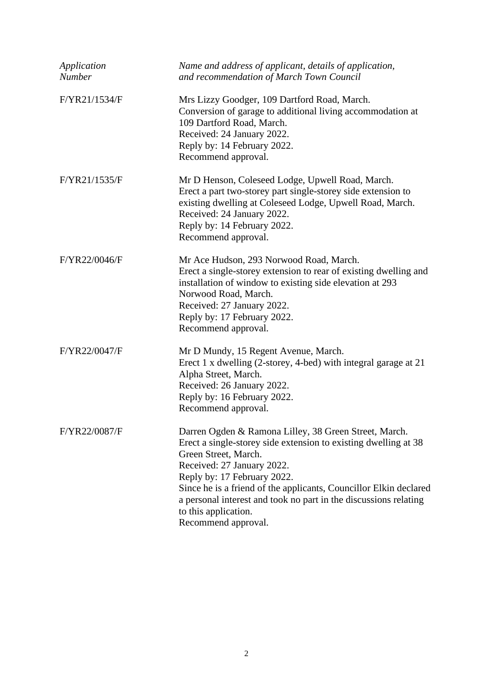| Application<br><b>Number</b> | Name and address of applicant, details of application,<br>and recommendation of March Town Council                                                                                                                                                                                                                                                                                                    |
|------------------------------|-------------------------------------------------------------------------------------------------------------------------------------------------------------------------------------------------------------------------------------------------------------------------------------------------------------------------------------------------------------------------------------------------------|
| F/YR21/1534/F                | Mrs Lizzy Goodger, 109 Dartford Road, March.<br>Conversion of garage to additional living accommodation at<br>109 Dartford Road, March.<br>Received: 24 January 2022.<br>Reply by: 14 February 2022.<br>Recommend approval.                                                                                                                                                                           |
| F/YR21/1535/F                | Mr D Henson, Coleseed Lodge, Upwell Road, March.<br>Erect a part two-storey part single-storey side extension to<br>existing dwelling at Coleseed Lodge, Upwell Road, March.<br>Received: 24 January 2022.<br>Reply by: 14 February 2022.<br>Recommend approval.                                                                                                                                      |
| F/YR22/0046/F                | Mr Ace Hudson, 293 Norwood Road, March.<br>Erect a single-storey extension to rear of existing dwelling and<br>installation of window to existing side elevation at 293<br>Norwood Road, March.<br>Received: 27 January 2022.<br>Reply by: 17 February 2022.<br>Recommend approval.                                                                                                                   |
| F/YR22/0047/F                | Mr D Mundy, 15 Regent Avenue, March.<br>Erect 1 x dwelling (2-storey, 4-bed) with integral garage at 21<br>Alpha Street, March.<br>Received: 26 January 2022.<br>Reply by: 16 February 2022.<br>Recommend approval.                                                                                                                                                                                   |
| F/YR22/0087/F                | Darren Ogden & Ramona Lilley, 38 Green Street, March.<br>Erect a single-storey side extension to existing dwelling at 38<br>Green Street, March.<br>Received: 27 January 2022.<br>Reply by: 17 February 2022.<br>Since he is a friend of the applicants, Councillor Elkin declared<br>a personal interest and took no part in the discussions relating<br>to this application.<br>Recommend approval. |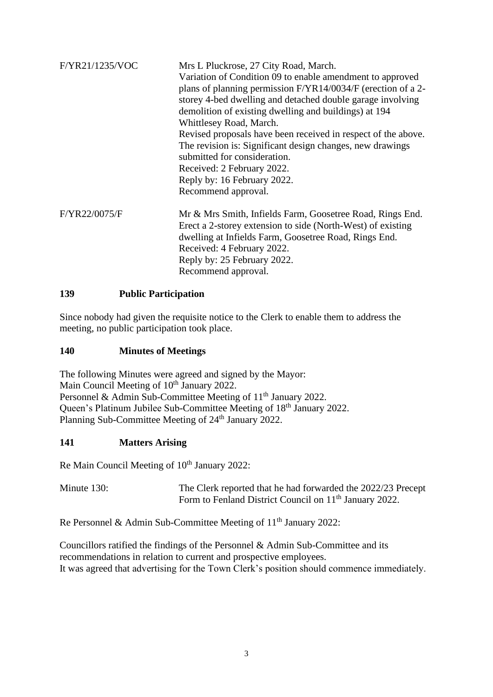| F/YR21/1235/VOC | Mrs L Pluckrose, 27 City Road, March.<br>Variation of Condition 09 to enable amendment to approved<br>plans of planning permission F/YR14/0034/F (erection of a 2-<br>storey 4-bed dwelling and detached double garage involving<br>demolition of existing dwelling and buildings) at 194<br>Whittlesey Road, March.<br>Revised proposals have been received in respect of the above.<br>The revision is: Significant design changes, new drawings<br>submitted for consideration.<br>Received: 2 February 2022.<br>Reply by: 16 February 2022.<br>Recommend approval. |
|-----------------|------------------------------------------------------------------------------------------------------------------------------------------------------------------------------------------------------------------------------------------------------------------------------------------------------------------------------------------------------------------------------------------------------------------------------------------------------------------------------------------------------------------------------------------------------------------------|
| F/YR22/0075/F   | Mr & Mrs Smith, Infields Farm, Goosetree Road, Rings End.<br>Erect a 2-storey extension to side (North-West) of existing<br>dwelling at Infields Farm, Goosetree Road, Rings End.<br>Received: 4 February 2022.<br>Reply by: 25 February 2022.<br>Recommend approval.                                                                                                                                                                                                                                                                                                  |

# **139 Public Participation**

Since nobody had given the requisite notice to the Clerk to enable them to address the meeting, no public participation took place.

#### **140 Minutes of Meetings**

The following Minutes were agreed and signed by the Mayor: Main Council Meeting of 10<sup>th</sup> January 2022. Personnel & Admin Sub-Committee Meeting of 11<sup>th</sup> January 2022. Queen's Platinum Jubilee Sub-Committee Meeting of 18<sup>th</sup> January 2022. Planning Sub-Committee Meeting of 24<sup>th</sup> January 2022.

#### **141 Matters Arising**

Re Main Council Meeting of 10<sup>th</sup> January 2022:

Minute 130: The Clerk reported that he had forwarded the 2022/23 Precept Form to Fenland District Council on 11<sup>th</sup> January 2022.

Re Personnel & Admin Sub-Committee Meeting of 11<sup>th</sup> January 2022:

Councillors ratified the findings of the Personnel & Admin Sub-Committee and its recommendations in relation to current and prospective employees. It was agreed that advertising for the Town Clerk's position should commence immediately.